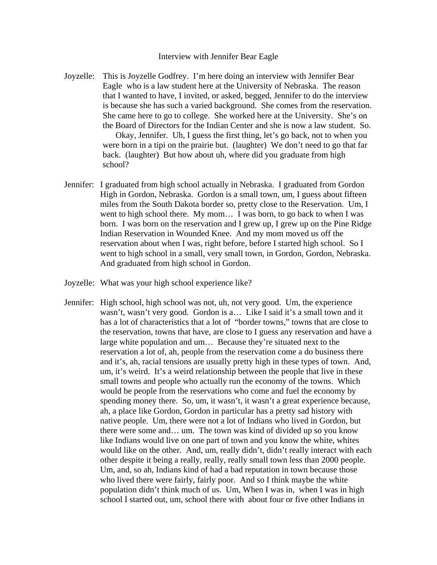## Interview with Jennifer Bear Eagle

Joyzelle: This is Joyzelle Godfrey. I'm here doing an interview with Jennifer Bear Eagle who is a law student here at the University of Nebraska. The reason that I wanted to have, I invited, or asked, begged, Jennifer to do the interview is because she has such a varied background. She comes from the reservation. She came here to go to college. She worked here at the University. She's on the Board of Directors for the Indian Center and she is now a law student. So.

> Okay, Jennifer. Uh, I guess the first thing, let's go back, not to when you were born in a tipi on the prairie but. (laughter) We don't need to go that far back. (laughter) But how about uh, where did you graduate from high school?

- Jennifer: I graduated from high school actually in Nebraska. I graduated from Gordon High in Gordon, Nebraska. Gordon is a small town, um, I guess about fifteen miles from the South Dakota border so, pretty close to the Reservation. Um, I went to high school there. My mom… I was born, to go back to when I was born. I was born on the reservation and I grew up, I grew up on the Pine Ridge Indian Reservation in Wounded Knee. And my mom moved us off the reservation about when I was, right before, before I started high school. So I went to high school in a small, very small town, in Gordon, Gordon, Nebraska. And graduated from high school in Gordon.
- Joyzelle: What was your high school experience like?
- Jennifer: High school, high school was not, uh, not very good. Um, the experience wasn't, wasn't very good. Gordon is a… Like I said it's a small town and it has a lot of characteristics that a lot of "border towns," towns that are close to the reservation, towns that have, are close to I guess any reservation and have a large white population and um… Because they're situated next to the reservation a lot of, ah, people from the reservation come a do business there and it's, ah, racial tensions are usually pretty high in these types of town. And, um, it's weird. It's a weird relationship between the people that live in these small towns and people who actually run the economy of the towns. Which would be people from the reservations who come and fuel the economy by spending money there. So, um, it wasn't, it wasn't a great experience because, ah, a place like Gordon, Gordon in particular has a pretty sad history with native people. Um, there were not a lot of Indians who lived in Gordon, but there were some and… um. The town was kind of divided up so you know like Indians would live on one part of town and you know the white, whites would like on the other. And, um, really didn't, didn't really interact with each other despite it being a really, really, really small town less than 2000 people. Um, and, so ah, Indians kind of had a bad reputation in town because those who lived there were fairly, fairly poor. And so I think maybe the white population didn't think much of us. Um, When I was in, when I was in high school I started out, um, school there with about four or five other Indians in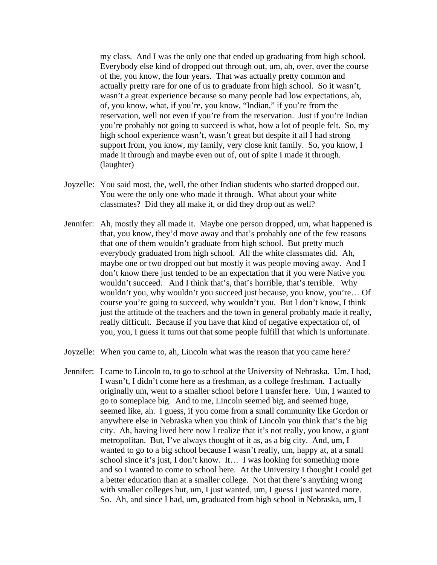my class. And I was the only one that ended up graduating from high school. Everybody else kind of dropped out through out, um, ah, over, over the course of the, you know, the four years. That was actually pretty common and actually pretty rare for one of us to graduate from high school. So it wasn't, wasn't a great experience because so many people had low expectations, ah, of, you know, what, if you're, you know, "Indian," if you're from the reservation, well not even if you're from the reservation. Just if you're Indian you're probably not going to succeed is what, how a lot of people felt. So, my high school experience wasn't, wasn't great but despite it all I had strong support from, you know, my family, very close knit family. So, you know, I made it through and maybe even out of, out of spite I made it through. (laughter)

- Joyzelle: You said most, the, well, the other Indian students who started dropped out. You were the only one who made it through. What about your white classmates? Did they all make it, or did they drop out as well?
- Jennifer: Ah, mostly they all made it. Maybe one person dropped, um, what happened is that, you know, they'd move away and that's probably one of the few reasons that one of them wouldn't graduate from high school. But pretty much everybody graduated from high school. All the white classmates did. Ah, maybe one or two dropped out but mostly it was people moving away. And I don't know there just tended to be an expectation that if you were Native you wouldn't succeed. And I think that's, that's horrible, that's terrible. Why wouldn't you, why wouldn't you succeed just because, you know, you're… Of course you're going to succeed, why wouldn't you. But I don't know, I think just the attitude of the teachers and the town in general probably made it really, really difficult. Because if you have that kind of negative expectation of, of you, you, I guess it turns out that some people fulfill that which is unfortunate.
- Joyzelle: When you came to, ah, Lincoln what was the reason that you came here?
- Jennifer: I came to Lincoln to, to go to school at the University of Nebraska. Um, I had, I wasn't, I didn't come here as a freshman, as a college freshman. I actually originally um, went to a smaller school before I transfer here. Um, I wanted to go to someplace big. And to me, Lincoln seemed big, and seemed huge, seemed like, ah. I guess, if you come from a small community like Gordon or anywhere else in Nebraska when you think of Lincoln you think that's the big city. Ah, having lived here now I realize that it's not really, you know, a giant metropolitan. But, I've always thought of it as, as a big city. And, um, I wanted to go to a big school because I wasn't really, um, happy at, at a small school since it's just, I don't know. It… I was looking for something more and so I wanted to come to school here. At the University I thought I could get a better education than at a smaller college. Not that there's anything wrong with smaller colleges but, um, I just wanted, um, I guess I just wanted more. So. Ah, and since I had, um, graduated from high school in Nebraska, um, I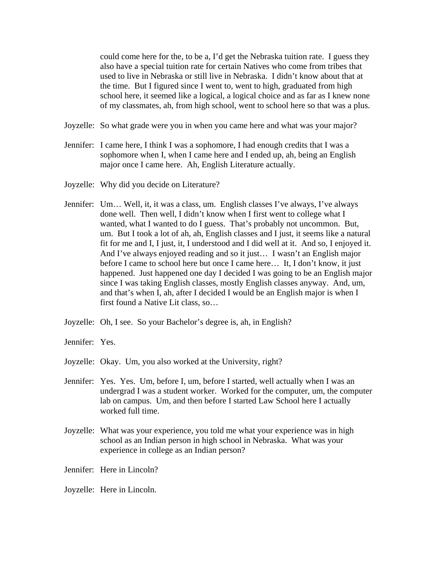could come here for the, to be a, I'd get the Nebraska tuition rate. I guess they also have a special tuition rate for certain Natives who come from tribes that used to live in Nebraska or still live in Nebraska. I didn't know about that at the time. But I figured since I went to, went to high, graduated from high school here, it seemed like a logical, a logical choice and as far as I knew none of my classmates, ah, from high school, went to school here so that was a plus.

- Joyzelle: So what grade were you in when you came here and what was your major?
- Jennifer: I came here, I think I was a sophomore, I had enough credits that I was a sophomore when I, when I came here and I ended up, ah, being an English major once I came here. Ah, English Literature actually.
- Joyzelle: Why did you decide on Literature?
- Jennifer: Um… Well, it, it was a class, um. English classes I've always, I've always done well. Then well, I didn't know when I first went to college what I wanted, what I wanted to do I guess. That's probably not uncommon. But, um. But I took a lot of ah, ah, English classes and I just, it seems like a natural fit for me and I, I just, it, I understood and I did well at it. And so, I enjoyed it. And I've always enjoyed reading and so it just… I wasn't an English major before I came to school here but once I came here… It, I don't know, it just happened. Just happened one day I decided I was going to be an English major since I was taking English classes, mostly English classes anyway. And, um, and that's when I, ah, after I decided I would be an English major is when I first found a Native Lit class, so…
- Joyzelle: Oh, I see. So your Bachelor's degree is, ah, in English?
- Jennifer: Yes.
- Joyzelle: Okay. Um, you also worked at the University, right?
- Jennifer: Yes. Yes. Um, before I, um, before I started, well actually when I was an undergrad I was a student worker. Worked for the computer, um, the computer lab on campus. Um, and then before I started Law School here I actually worked full time.
- Joyzelle: What was your experience, you told me what your experience was in high school as an Indian person in high school in Nebraska. What was your experience in college as an Indian person?
- Jennifer: Here in Lincoln?
- Joyzelle: Here in Lincoln.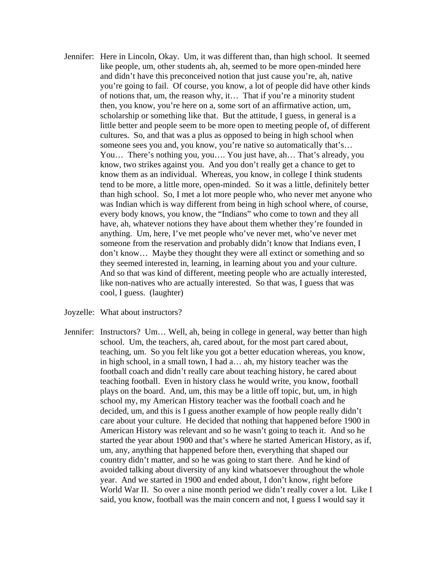- Jennifer: Here in Lincoln, Okay. Um, it was different than, than high school. It seemed like people, um, other students ah, ah, seemed to be more open-minded here and didn't have this preconceived notion that just cause you're, ah, native you're going to fail. Of course, you know, a lot of people did have other kinds of notions that, um, the reason why, it… That if you're a minority student then, you know, you're here on a, some sort of an affirmative action, um, scholarship or something like that. But the attitude, I guess, in general is a little better and people seem to be more open to meeting people of, of different cultures. So, and that was a plus as opposed to being in high school when someone sees you and, you know, you're native so automatically that's... You… There's nothing you, you…. You just have, ah… That's already, you know, two strikes against you. And you don't really get a chance to get to know them as an individual. Whereas, you know, in college I think students tend to be more, a little more, open-minded. So it was a little, definitely better than high school. So, I met a lot more people who, who never met anyone who was Indian which is way different from being in high school where, of course, every body knows, you know, the "Indians" who come to town and they all have, ah, whatever notions they have about them whether they're founded in anything. Um, here, I've met people who've never met, who've never met someone from the reservation and probably didn't know that Indians even, I don't know… Maybe they thought they were all extinct or something and so they seemed interested in, learning, in learning about you and your culture. And so that was kind of different, meeting people who are actually interested, like non-natives who are actually interested. So that was, I guess that was cool, I guess. (laughter)
- Joyzelle: What about instructors?
- Jennifer: Instructors? Um… Well, ah, being in college in general, way better than high school. Um, the teachers, ah, cared about, for the most part cared about, teaching, um. So you felt like you got a better education whereas, you know, in high school, in a small town, I had a… ah, my history teacher was the football coach and didn't really care about teaching history, he cared about teaching football. Even in history class he would write, you know, football plays on the board. And, um, this may be a little off topic, but, um, in high school my, my American History teacher was the football coach and he decided, um, and this is I guess another example of how people really didn't care about your culture. He decided that nothing that happened before 1900 in American History was relevant and so he wasn't going to teach it. And so he started the year about 1900 and that's where he started American History, as if, um, any, anything that happened before then, everything that shaped our country didn't matter, and so he was going to start there. And he kind of avoided talking about diversity of any kind whatsoever throughout the whole year. And we started in 1900 and ended about, I don't know, right before World War II. So over a nine month period we didn't really cover a lot. Like I said, you know, football was the main concern and not, I guess I would say it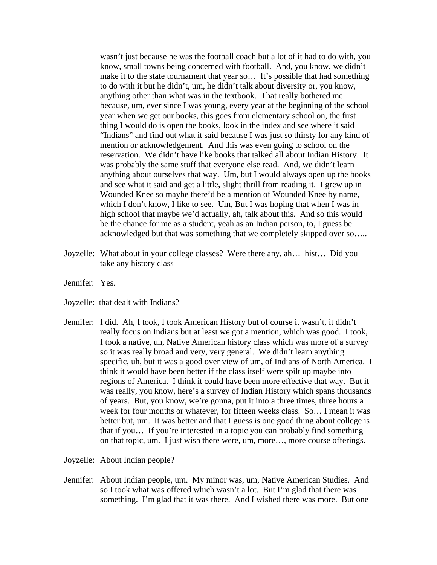wasn't just because he was the football coach but a lot of it had to do with, you know, small towns being concerned with football. And, you know, we didn't make it to the state tournament that year so... It's possible that had something to do with it but he didn't, um, he didn't talk about diversity or, you know, anything other than what was in the textbook. That really bothered me because, um, ever since I was young, every year at the beginning of the school year when we get our books, this goes from elementary school on, the first thing I would do is open the books, look in the index and see where it said "Indians" and find out what it said because I was just so thirsty for any kind of mention or acknowledgement. And this was even going to school on the reservation. We didn't have like books that talked all about Indian History. It was probably the same stuff that everyone else read. And, we didn't learn anything about ourselves that way. Um, but I would always open up the books and see what it said and get a little, slight thrill from reading it. I grew up in Wounded Knee so maybe there'd be a mention of Wounded Knee by name, which I don't know, I like to see. Um, But I was hoping that when I was in high school that maybe we'd actually, ah, talk about this. And so this would be the chance for me as a student, yeah as an Indian person, to, I guess be acknowledged but that was something that we completely skipped over so…..

- Joyzelle: What about in your college classes? Were there any, ah… hist… Did you take any history class
- Jennifer: Yes.
- Joyzelle: that dealt with Indians?
- Jennifer: I did. Ah, I took, I took American History but of course it wasn't, it didn't really focus on Indians but at least we got a mention, which was good. I took, I took a native, uh, Native American history class which was more of a survey so it was really broad and very, very general. We didn't learn anything specific, uh, but it was a good over view of um, of Indians of North America. I think it would have been better if the class itself were spilt up maybe into regions of America. I think it could have been more effective that way. But it was really, you know, here's a survey of Indian History which spans thousands of years. But, you know, we're gonna, put it into a three times, three hours a week for four months or whatever, for fifteen weeks class. So… I mean it was better but, um. It was better and that I guess is one good thing about college is that if you… If you're interested in a topic you can probably find something on that topic, um. I just wish there were, um, more…, more course offerings.

Joyzelle: About Indian people?

Jennifer: About Indian people, um. My minor was, um, Native American Studies. And so I took what was offered which wasn't a lot. But I'm glad that there was something. I'm glad that it was there. And I wished there was more. But one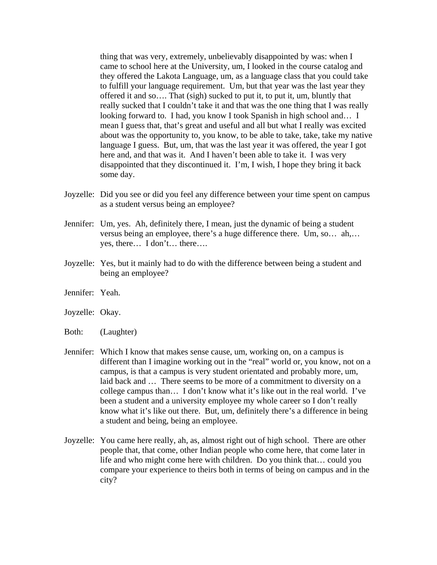thing that was very, extremely, unbelievably disappointed by was: when I came to school here at the University, um, I looked in the course catalog and they offered the Lakota Language, um, as a language class that you could take to fulfill your language requirement. Um, but that year was the last year they offered it and so…. That (sigh) sucked to put it, to put it, um, bluntly that really sucked that I couldn't take it and that was the one thing that I was really looking forward to. I had, you know I took Spanish in high school and… I mean I guess that, that's great and useful and all but what I really was excited about was the opportunity to, you know, to be able to take, take, take my native language I guess. But, um, that was the last year it was offered, the year I got here and, and that was it. And I haven't been able to take it. I was very disappointed that they discontinued it. I'm, I wish, I hope they bring it back some day.

- Joyzelle: Did you see or did you feel any difference between your time spent on campus as a student versus being an employee?
- Jennifer: Um, yes. Ah, definitely there, I mean, just the dynamic of being a student versus being an employee, there's a huge difference there. Um, so… ah,… yes, there… I don't… there….
- Joyzelle: Yes, but it mainly had to do with the difference between being a student and being an employee?
- Jennifer: Yeah.
- Joyzelle: Okay.
- Both: (Laughter)
- Jennifer: Which I know that makes sense cause, um, working on, on a campus is different than I imagine working out in the "real" world or, you know, not on a campus, is that a campus is very student orientated and probably more, um, laid back and … There seems to be more of a commitment to diversity on a college campus than… I don't know what it's like out in the real world. I've been a student and a university employee my whole career so I don't really know what it's like out there. But, um, definitely there's a difference in being a student and being, being an employee.
- Joyzelle: You came here really, ah, as, almost right out of high school. There are other people that, that come, other Indian people who come here, that come later in life and who might come here with children. Do you think that… could you compare your experience to theirs both in terms of being on campus and in the city?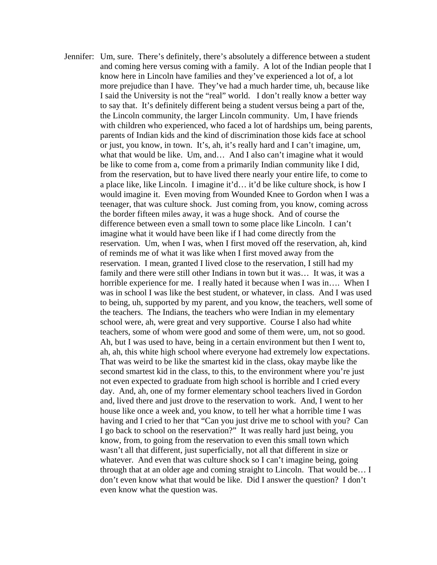Jennifer: Um, sure. There's definitely, there's absolutely a difference between a student and coming here versus coming with a family. A lot of the Indian people that I know here in Lincoln have families and they've experienced a lot of, a lot more prejudice than I have. They've had a much harder time, uh, because like I said the University is not the "real" world. I don't really know a better way to say that. It's definitely different being a student versus being a part of the, the Lincoln community, the larger Lincoln community. Um, I have friends with children who experienced, who faced a lot of hardships um, being parents, parents of Indian kids and the kind of discrimination those kids face at school or just, you know, in town. It's, ah, it's really hard and I can't imagine, um, what that would be like. Um, and… And I also can't imagine what it would be like to come from a, come from a primarily Indian community like I did, from the reservation, but to have lived there nearly your entire life, to come to a place like, like Lincoln. I imagine it'd… it'd be like culture shock, is how I would imagine it. Even moving from Wounded Knee to Gordon when I was a teenager, that was culture shock. Just coming from, you know, coming across the border fifteen miles away, it was a huge shock. And of course the difference between even a small town to some place like Lincoln. I can't imagine what it would have been like if I had come directly from the reservation. Um, when I was, when I first moved off the reservation, ah, kind of reminds me of what it was like when I first moved away from the reservation. I mean, granted I lived close to the reservation, I still had my family and there were still other Indians in town but it was… It was, it was a horrible experience for me. I really hated it because when I was in…. When I was in school I was like the best student, or whatever, in class. And I was used to being, uh, supported by my parent, and you know, the teachers, well some of the teachers. The Indians, the teachers who were Indian in my elementary school were, ah, were great and very supportive. Course I also had white teachers, some of whom were good and some of them were, um, not so good. Ah, but I was used to have, being in a certain environment but then I went to, ah, ah, this white high school where everyone had extremely low expectations. That was weird to be like the smartest kid in the class, okay maybe like the second smartest kid in the class, to this, to the environment where you're just not even expected to graduate from high school is horrible and I cried every day. And, ah, one of my former elementary school teachers lived in Gordon and, lived there and just drove to the reservation to work. And, I went to her house like once a week and, you know, to tell her what a horrible time I was having and I cried to her that "Can you just drive me to school with you? Can I go back to school on the reservation?" It was really hard just being, you know, from, to going from the reservation to even this small town which wasn't all that different, just superficially, not all that different in size or whatever. And even that was culture shock so I can't imagine being, going through that at an older age and coming straight to Lincoln. That would be… I don't even know what that would be like. Did I answer the question? I don't even know what the question was.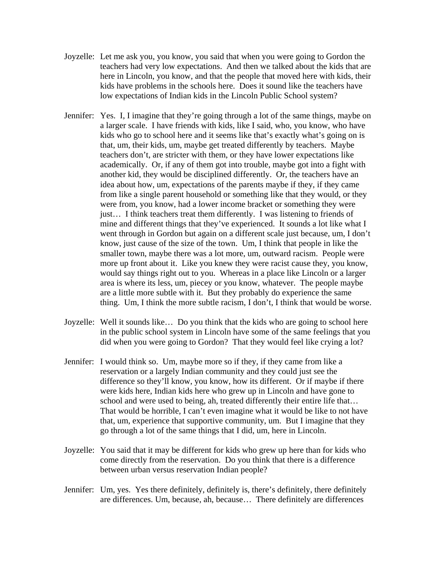- Joyzelle: Let me ask you, you know, you said that when you were going to Gordon the teachers had very low expectations. And then we talked about the kids that are here in Lincoln, you know, and that the people that moved here with kids, their kids have problems in the schools here. Does it sound like the teachers have low expectations of Indian kids in the Lincoln Public School system?
- Jennifer: Yes. I, I imagine that they're going through a lot of the same things, maybe on a larger scale. I have friends with kids, like I said, who, you know, who have kids who go to school here and it seems like that's exactly what's going on is that, um, their kids, um, maybe get treated differently by teachers. Maybe teachers don't, are stricter with them, or they have lower expectations like academically. Or, if any of them got into trouble, maybe got into a fight with another kid, they would be disciplined differently. Or, the teachers have an idea about how, um, expectations of the parents maybe if they, if they came from like a single parent household or something like that they would, or they were from, you know, had a lower income bracket or something they were just… I think teachers treat them differently. I was listening to friends of mine and different things that they've experienced. It sounds a lot like what I went through in Gordon but again on a different scale just because, um, I don't know, just cause of the size of the town. Um, I think that people in like the smaller town, maybe there was a lot more, um, outward racism. People were more up front about it. Like you knew they were racist cause they, you know, would say things right out to you. Whereas in a place like Lincoln or a larger area is where its less, um, piecey or you know, whatever. The people maybe are a little more subtle with it. But they probably do experience the same thing. Um, I think the more subtle racism, I don't, I think that would be worse.
- Joyzelle: Well it sounds like… Do you think that the kids who are going to school here in the public school system in Lincoln have some of the same feelings that you did when you were going to Gordon? That they would feel like crying a lot?
- Jennifer: I would think so. Um, maybe more so if they, if they came from like a reservation or a largely Indian community and they could just see the difference so they'll know, you know, how its different. Or if maybe if there were kids here, Indian kids here who grew up in Lincoln and have gone to school and were used to being, ah, treated differently their entire life that… That would be horrible, I can't even imagine what it would be like to not have that, um, experience that supportive community, um. But I imagine that they go through a lot of the same things that I did, um, here in Lincoln.
- Joyzelle: You said that it may be different for kids who grew up here than for kids who come directly from the reservation. Do you think that there is a difference between urban versus reservation Indian people?
- Jennifer: Um, yes. Yes there definitely, definitely is, there's definitely, there definitely are differences. Um, because, ah, because… There definitely are differences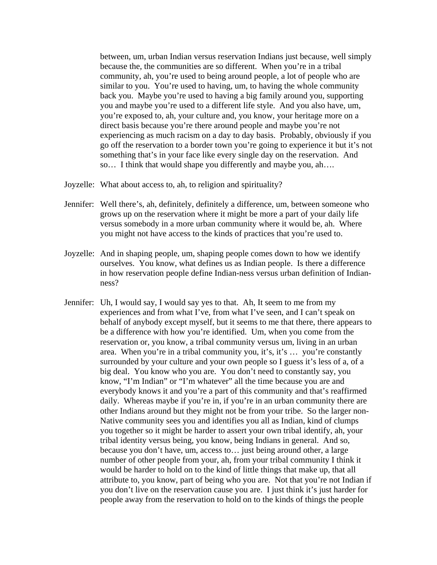between, um, urban Indian versus reservation Indians just because, well simply because the, the communities are so different. When you're in a tribal community, ah, you're used to being around people, a lot of people who are similar to you. You're used to having, um, to having the whole community back you. Maybe you're used to having a big family around you, supporting you and maybe you're used to a different life style. And you also have, um, you're exposed to, ah, your culture and, you know, your heritage more on a direct basis because you're there around people and maybe you're not experiencing as much racism on a day to day basis. Probably, obviously if you go off the reservation to a border town you're going to experience it but it's not something that's in your face like every single day on the reservation. And so… I think that would shape you differently and maybe you, ah….

- Joyzelle: What about access to, ah, to religion and spirituality?
- Jennifer: Well there's, ah, definitely, definitely a difference, um, between someone who grows up on the reservation where it might be more a part of your daily life versus somebody in a more urban community where it would be, ah. Where you might not have access to the kinds of practices that you're used to.
- Joyzelle: And in shaping people, um, shaping people comes down to how we identify ourselves. You know, what defines us as Indian people. Is there a difference in how reservation people define Indian-ness versus urban definition of Indianness?
- Jennifer: Uh, I would say, I would say yes to that. Ah, It seem to me from my experiences and from what I've, from what I've seen, and I can't speak on behalf of anybody except myself, but it seems to me that there, there appears to be a difference with how you're identified. Um, when you come from the reservation or, you know, a tribal community versus um, living in an urban area. When you're in a tribal community you, it's, it's … you're constantly surrounded by your culture and your own people so I guess it's less of a, of a big deal. You know who you are. You don't need to constantly say, you know, "I'm Indian" or "I'm whatever" all the time because you are and everybody knows it and you're a part of this community and that's reaffirmed daily. Whereas maybe if you're in, if you're in an urban community there are other Indians around but they might not be from your tribe. So the larger non-Native community sees you and identifies you all as Indian, kind of clumps you together so it might be harder to assert your own tribal identify, ah, your tribal identity versus being, you know, being Indians in general. And so, because you don't have, um, access to… just being around other, a large number of other people from your, ah, from your tribal community I think it would be harder to hold on to the kind of little things that make up, that all attribute to, you know, part of being who you are. Not that you're not Indian if you don't live on the reservation cause you are. I just think it's just harder for people away from the reservation to hold on to the kinds of things the people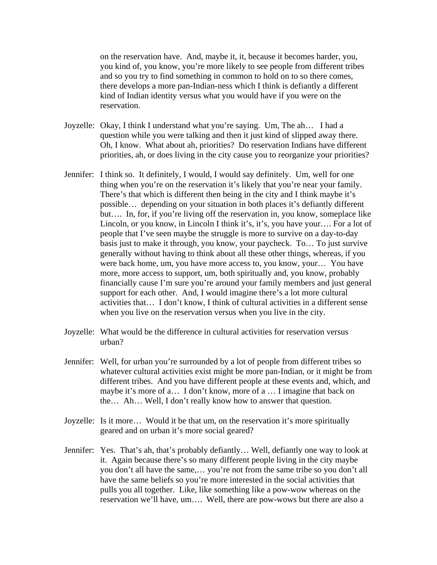on the reservation have. And, maybe it, it, because it becomes harder, you, you kind of, you know, you're more likely to see people from different tribes and so you try to find something in common to hold on to so there comes, there develops a more pan-Indian-ness which I think is defiantly a different kind of Indian identity versus what you would have if you were on the reservation.

- Joyzelle: Okay, I think I understand what you're saying. Um, The ah… I had a question while you were talking and then it just kind of slipped away there. Oh, I know. What about ah, priorities? Do reservation Indians have different priorities, ah, or does living in the city cause you to reorganize your priorities?
- Jennifer: I think so. It definitely, I would, I would say definitely. Um, well for one thing when you're on the reservation it's likely that you're near your family. There's that which is different then being in the city and I think maybe it's possible… depending on your situation in both places it's defiantly different but…. In, for, if you're living off the reservation in, you know, someplace like Lincoln, or you know, in Lincoln I think it's, it's, you have your…. For a lot of people that I've seen maybe the struggle is more to survive on a day-to-day basis just to make it through, you know, your paycheck. To… To just survive generally without having to think about all these other things, whereas, if you were back home, um, you have more access to, you know, your… You have more, more access to support, um, both spiritually and, you know, probably financially cause I'm sure you're around your family members and just general support for each other. And, I would imagine there's a lot more cultural activities that… I don't know, I think of cultural activities in a different sense when you live on the reservation versus when you live in the city.
- Joyzelle: What would be the difference in cultural activities for reservation versus urban?
- Jennifer: Well, for urban you're surrounded by a lot of people from different tribes so whatever cultural activities exist might be more pan-Indian, or it might be from different tribes. And you have different people at these events and, which, and maybe it's more of a… I don't know, more of a … I imagine that back on the… Ah… Well, I don't really know how to answer that question.
- Joyzelle: Is it more… Would it be that um, on the reservation it's more spiritually geared and on urban it's more social geared?
- Jennifer: Yes. That's ah, that's probably defiantly… Well, defiantly one way to look at it. Again because there's so many different people living in the city maybe you don't all have the same,… you're not from the same tribe so you don't all have the same beliefs so you're more interested in the social activities that pulls you all together. Like, like something like a pow-wow whereas on the reservation we'll have, um…. Well, there are pow-wows but there are also a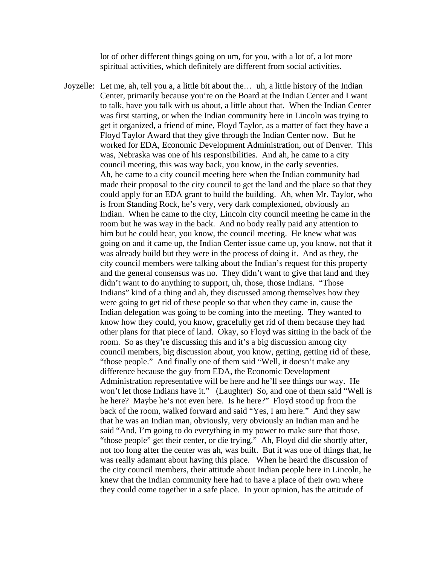lot of other different things going on um, for you, with a lot of, a lot more spiritual activities, which definitely are different from social activities.

Joyzelle: Let me, ah, tell you a, a little bit about the… uh, a little history of the Indian Center, primarily because you're on the Board at the Indian Center and I want to talk, have you talk with us about, a little about that. When the Indian Center was first starting, or when the Indian community here in Lincoln was trying to get it organized, a friend of mine, Floyd Taylor, as a matter of fact they have a Floyd Taylor Award that they give through the Indian Center now. But he worked for EDA, Economic Development Administration, out of Denver. This was, Nebraska was one of his responsibilities. And ah, he came to a city council meeting, this was way back, you know, in the early seventies. Ah, he came to a city council meeting here when the Indian community had made their proposal to the city council to get the land and the place so that they could apply for an EDA grant to build the building. Ah, when Mr. Taylor, who is from Standing Rock, he's very, very dark complexioned, obviously an Indian. When he came to the city, Lincoln city council meeting he came in the room but he was way in the back. And no body really paid any attention to him but he could hear, you know, the council meeting. He knew what was going on and it came up, the Indian Center issue came up, you know, not that it was already build but they were in the process of doing it. And as they, the city council members were talking about the Indian's request for this property and the general consensus was no. They didn't want to give that land and they didn't want to do anything to support, uh, those, those Indians. "Those Indians" kind of a thing and ah, they discussed among themselves how they were going to get rid of these people so that when they came in, cause the Indian delegation was going to be coming into the meeting. They wanted to know how they could, you know, gracefully get rid of them because they had other plans for that piece of land. Okay, so Floyd was sitting in the back of the room. So as they're discussing this and it's a big discussion among city council members, big discussion about, you know, getting, getting rid of these, "those people." And finally one of them said "Well, it doesn't make any difference because the guy from EDA, the Economic Development Administration representative will be here and he'll see things our way. He won't let those Indians have it." (Laughter) So, and one of them said "Well is he here? Maybe he's not even here. Is he here?" Floyd stood up from the back of the room, walked forward and said "Yes, I am here." And they saw that he was an Indian man, obviously, very obviously an Indian man and he said "And, I'm going to do everything in my power to make sure that those, "those people" get their center, or die trying." Ah, Floyd did die shortly after, not too long after the center was ah, was built. But it was one of things that, he was really adamant about having this place. When he heard the discussion of the city council members, their attitude about Indian people here in Lincoln, he knew that the Indian community here had to have a place of their own where they could come together in a safe place. In your opinion, has the attitude of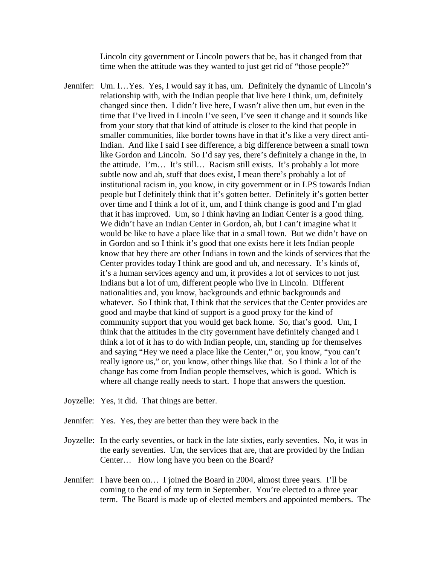Lincoln city government or Lincoln powers that be, has it changed from that time when the attitude was they wanted to just get rid of "those people?"

- Jennifer: Um. I…Yes. Yes, I would say it has, um. Definitely the dynamic of Lincoln's relationship with, with the Indian people that live here I think, um, definitely changed since then. I didn't live here, I wasn't alive then um, but even in the time that I've lived in Lincoln I've seen, I've seen it change and it sounds like from your story that that kind of attitude is closer to the kind that people in smaller communities, like border towns have in that it's like a very direct anti-Indian. And like I said I see difference, a big difference between a small town like Gordon and Lincoln. So I'd say yes, there's definitely a change in the, in the attitude. I'm… It's still… Racism still exists. It's probably a lot more subtle now and ah, stuff that does exist, I mean there's probably a lot of institutional racism in, you know, in city government or in LPS towards Indian people but I definitely think that it's gotten better. Definitely it's gotten better over time and I think a lot of it, um, and I think change is good and I'm glad that it has improved. Um, so I think having an Indian Center is a good thing. We didn't have an Indian Center in Gordon, ah, but I can't imagine what it would be like to have a place like that in a small town. But we didn't have on in Gordon and so I think it's good that one exists here it lets Indian people know that hey there are other Indians in town and the kinds of services that the Center provides today I think are good and uh, and necessary. It's kinds of, it's a human services agency and um, it provides a lot of services to not just Indians but a lot of um, different people who live in Lincoln. Different nationalities and, you know, backgrounds and ethnic backgrounds and whatever. So I think that, I think that the services that the Center provides are good and maybe that kind of support is a good proxy for the kind of community support that you would get back home. So, that's good. Um, I think that the attitudes in the city government have definitely changed and I think a lot of it has to do with Indian people, um, standing up for themselves and saying "Hey we need a place like the Center," or, you know, "you can't really ignore us," or, you know, other things like that. So I think a lot of the change has come from Indian people themselves, which is good. Which is where all change really needs to start. I hope that answers the question.
- Joyzelle: Yes, it did. That things are better.
- Jennifer: Yes. Yes, they are better than they were back in the
- Joyzelle: In the early seventies, or back in the late sixties, early seventies. No, it was in the early seventies. Um, the services that are, that are provided by the Indian Center… How long have you been on the Board?
- Jennifer: I have been on… I joined the Board in 2004, almost three years. I'll be coming to the end of my term in September. You're elected to a three year term. The Board is made up of elected members and appointed members. The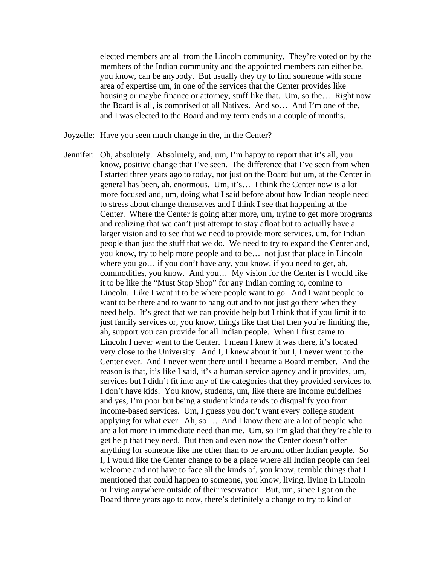elected members are all from the Lincoln community. They're voted on by the members of the Indian community and the appointed members can either be, you know, can be anybody. But usually they try to find someone with some area of expertise um, in one of the services that the Center provides like housing or maybe finance or attorney, stuff like that. Um, so the… Right now the Board is all, is comprised of all Natives. And so… And I'm one of the, and I was elected to the Board and my term ends in a couple of months.

- Joyzelle: Have you seen much change in the, in the Center?
- Jennifer: Oh, absolutely. Absolutely, and, um, I'm happy to report that it's all, you know, positive change that I've seen. The difference that I've seen from when I started three years ago to today, not just on the Board but um, at the Center in general has been, ah, enormous. Um, it's… I think the Center now is a lot more focused and, um, doing what I said before about how Indian people need to stress about change themselves and I think I see that happening at the Center. Where the Center is going after more, um, trying to get more programs and realizing that we can't just attempt to stay afloat but to actually have a larger vision and to see that we need to provide more services, um, for Indian people than just the stuff that we do. We need to try to expand the Center and, you know, try to help more people and to be… not just that place in Lincoln where you go… if you don't have any, you know, if you need to get, ah, commodities, you know. And you… My vision for the Center is I would like it to be like the "Must Stop Shop" for any Indian coming to, coming to Lincoln. Like I want it to be where people want to go. And I want people to want to be there and to want to hang out and to not just go there when they need help. It's great that we can provide help but I think that if you limit it to just family services or, you know, things like that that then you're limiting the, ah, support you can provide for all Indian people. When I first came to Lincoln I never went to the Center. I mean I knew it was there, it's located very close to the University. And I, I knew about it but I, I never went to the Center ever. And I never went there until I became a Board member. And the reason is that, it's like I said, it's a human service agency and it provides, um, services but I didn't fit into any of the categories that they provided services to. I don't have kids. You know, students, um, like there are income guidelines and yes, I'm poor but being a student kinda tends to disqualify you from income-based services. Um, I guess you don't want every college student applying for what ever. Ah, so…. And I know there are a lot of people who are a lot more in immediate need than me. Um, so I'm glad that they're able to get help that they need. But then and even now the Center doesn't offer anything for someone like me other than to be around other Indian people. So I, I would like the Center change to be a place where all Indian people can feel welcome and not have to face all the kinds of, you know, terrible things that I mentioned that could happen to someone, you know, living, living in Lincoln or living anywhere outside of their reservation. But, um, since I got on the Board three years ago to now, there's definitely a change to try to kind of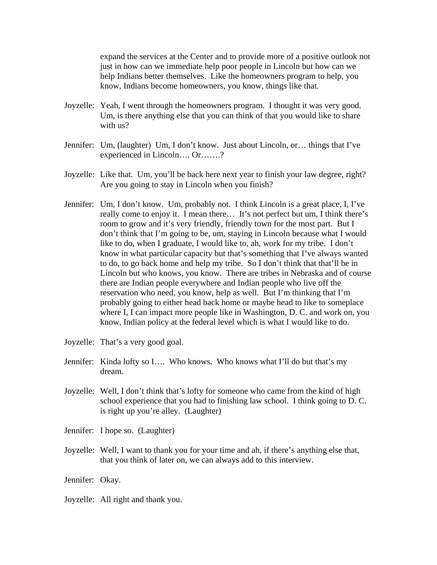expand the services at the Center and to provide more of a positive outlook not just in how can we immediate help poor people in Lincoln but how can we help Indians better themselves. Like the homeowners program to help, you know, Indians become homeowners, you know, things like that.

- Joyzelle: Yeah, I went through the homeowners program. I thought it was very good. Um, is there anything else that you can think of that you would like to share with us?
- Jennifer: Um, (laughter) Um, I don't know. Just about Lincoln, or… things that I've experienced in Lincoln…. Or…….?
- Joyzelle: Like that. Um, you'll be back here next year to finish your law degree, right? Are you going to stay in Lincoln when you finish?
- Jennifer: Um, I don't know. Um, probably not. I think Lincoln is a great place, I, I've really come to enjoy it. I mean there… It's not perfect but um, I think there's room to grow and it's very friendly, friendly town for the most part. But I don't think that I'm going to be, um, staying in Lincoln because what I would like to do, when I graduate, I would like to, ah, work for my tribe. I don't know in what particular capacity but that's something that I've always wanted to do, to go back home and help my tribe. So I don't think that that'll be in Lincoln but who knows, you know. There are tribes in Nebraska and of course there are Indian people everywhere and Indian people who live off the reservation who need, you know, help as well. But I'm thinking that I'm probably going to either head back home or maybe head to like to someplace where I, I can impact more people like in Washington, D. C. and work on, you know, Indian policy at the federal level which is what I would like to do.
- Joyzelle: That's a very good goal.
- Jennifer: Kinda lofty so I…. Who knows. Who knows what I'll do but that's my dream.
- Joyzelle: Well, I don't think that's lofty for someone who came from the kind of high school experience that you had to finishing law school. I think going to D. C. is right up you're alley. (Laughter)
- Jennifer: I hope so. (Laughter)
- Joyzelle: Well, I want to thank you for your time and ah, if there's anything else that, that you think of later on, we can always add to this interview.
- Jennifer: Okay.
- Joyzelle: All right and thank you.